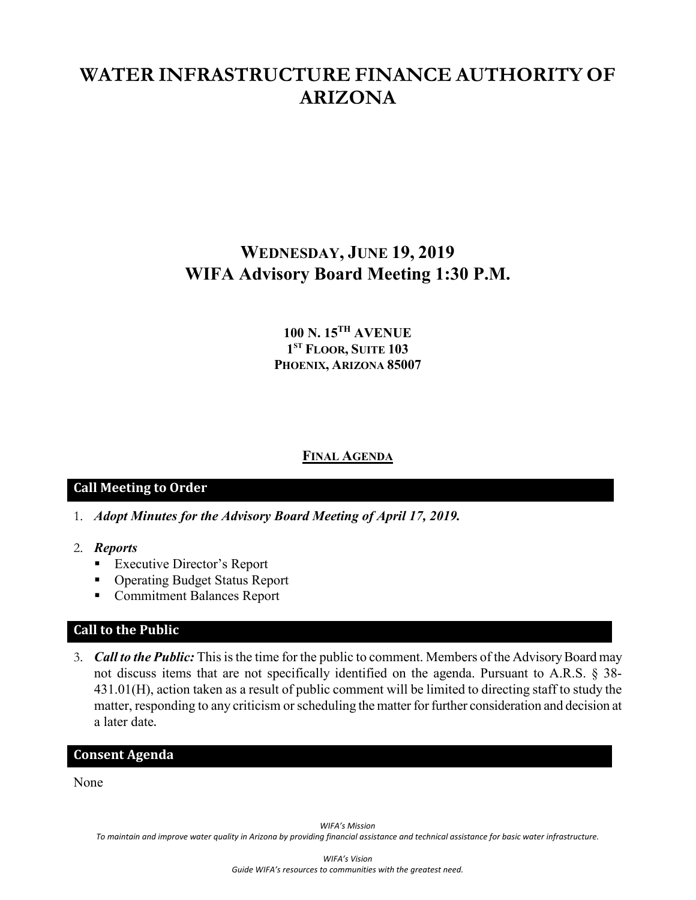# **WATER INFRASTRUCTURE FINANCE AUTHORITY OF ARIZONA**

## **WEDNESDAY, JUNE 19, 2019 WIFA Advisory Board Meeting 1:30 P.M.**

## **100 N. 15TH AVENUE 1ST FLOOR, SUITE 103 PHOENIX, ARIZONA 85007**

### **FINAL AGENDA**

#### **Call Meeting to Order**

- 1. *Adopt Minutes for the Advisory Board Meeting of April 17, 2019.*
- 2. *Reports*
	- **Executive Director's Report**
	- Operating Budget Status Report
	- **Commitment Balances Report**

#### **Call to the Public**

3. *Call to the Public:* This is the time for the public to comment. Members of the Advisory Board may not discuss items that are not specifically identified on the agenda. Pursuant to A.R.S. § 38- 431.01(H), action taken as a result of public comment will be limited to directing staff to study the matter, responding to any criticism or scheduling the matter for further consideration and decision at a later date.

#### **Consent Agenda**

None

*WIFA's Mission*

*To maintain and improve water quality in Arizona by providing financial assistance and technical assistance for basic water infrastructure.*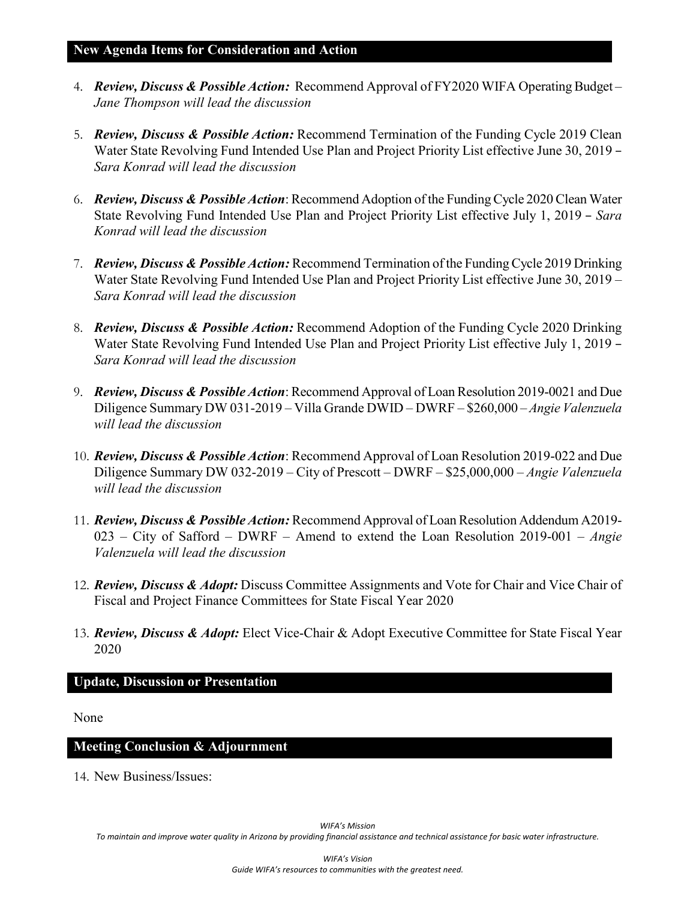- 4. *Review, Discuss & Possible Action:* Recommend Approval of FY2020 WIFA Operating Budget *Jane Thompson will lead the discussion*
- 5. *Review, Discuss & Possible Action:* Recommend Termination of the Funding Cycle 2019 Clean Water State Revolving Fund Intended Use Plan and Project Priority List effective June 30, 2019 – *Sara Konrad will lead the discussion*
- 6. *Review, Discuss & Possible Action*: Recommend Adoption of the Funding Cycle 2020 Clean Water State Revolving Fund Intended Use Plan and Project Priority List effective July 1, 2019 – *Sara Konrad will lead the discussion*
- 7. *Review, Discuss & Possible Action:* Recommend Termination of the Funding Cycle 2019 Drinking Water State Revolving Fund Intended Use Plan and Project Priority List effective June 30, 2019 *– Sara Konrad will lead the discussion*
- 8. *Review, Discuss & Possible Action:* Recommend Adoption of the Funding Cycle 2020 Drinking Water State Revolving Fund Intended Use Plan and Project Priority List effective July 1, 2019 – *Sara Konrad will lead the discussion*
- 9. *Review, Discuss & Possible Action*: Recommend Approval of Loan Resolution 2019-0021 and Due Diligence Summary DW 031-2019 – Villa Grande DWID – DWRF – \$260,000 –*Angie Valenzuela will lead the discussion*
- 10. *Review, Discuss & Possible Action*: Recommend Approval of Loan Resolution 2019-022 and Due Diligence Summary DW 032-2019 – City of Prescott – DWRF – \$25,000,000 – *Angie Valenzuela will lead the discussion*
- 11. *Review, Discuss & Possible Action:* Recommend Approval of Loan Resolution Addendum A2019- 023 – City of Safford – DWRF – Amend to extend the Loan Resolution 2019-001 – *Angie Valenzuela will lead the discussion*
- 12. *Review, Discuss & Adopt:* Discuss Committee Assignments and Vote for Chair and Vice Chair of Fiscal and Project Finance Committees for State Fiscal Year 2020
- 13. *Review, Discuss & Adopt:* Elect Vice-Chair & Adopt Executive Committee for State Fiscal Year 2020

## **Update, Discussion or Presentation**

None

## **Meeting Conclusion & Adjournment**

14. New Business/Issues:

*WIFA's Mission*

*To maintain and improve water quality in Arizona by providing financial assistance and technical assistance for basic water infrastructure.*